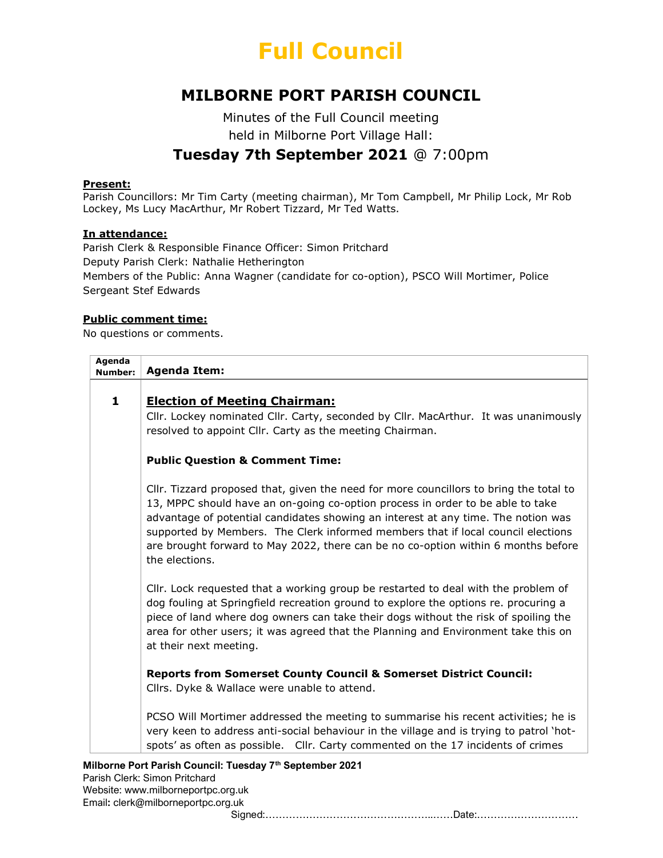

## MILBORNE PORT PARISH COUNCIL

Minutes of the Full Council meeting held in Milborne Port Village Hall:

## Tuesday 7th September 2021 @ 7:00pm

#### Present:

Parish Councillors: Mr Tim Carty (meeting chairman), Mr Tom Campbell, Mr Philip Lock, Mr Rob Lockey, Ms Lucy MacArthur, Mr Robert Tizzard, Mr Ted Watts.

#### In attendance:

Parish Clerk & Responsible Finance Officer: Simon Pritchard Deputy Parish Clerk: Nathalie Hetherington Members of the Public: Anna Wagner (candidate for co-option), PSCO Will Mortimer, Police Sergeant Stef Edwards

#### Public comment time:

No questions or comments.

| Agenda<br><b>Number:</b> | <b>Agenda Item:</b>                                                                                                                                                                                                                                                                                                                                                                                                                                      |
|--------------------------|----------------------------------------------------------------------------------------------------------------------------------------------------------------------------------------------------------------------------------------------------------------------------------------------------------------------------------------------------------------------------------------------------------------------------------------------------------|
|                          |                                                                                                                                                                                                                                                                                                                                                                                                                                                          |
| $\mathbf{1}$             | <b>Election of Meeting Chairman:</b>                                                                                                                                                                                                                                                                                                                                                                                                                     |
|                          | Cllr. Lockey nominated Cllr. Carty, seconded by Cllr. MacArthur. It was unanimously<br>resolved to appoint Cllr. Carty as the meeting Chairman.                                                                                                                                                                                                                                                                                                          |
|                          | <b>Public Question &amp; Comment Time:</b>                                                                                                                                                                                                                                                                                                                                                                                                               |
|                          | Cllr. Tizzard proposed that, given the need for more councillors to bring the total to<br>13, MPPC should have an on-going co-option process in order to be able to take<br>advantage of potential candidates showing an interest at any time. The notion was<br>supported by Members. The Clerk informed members that if local council elections<br>are brought forward to May 2022, there can be no co-option within 6 months before<br>the elections. |
|                          | Cllr. Lock requested that a working group be restarted to deal with the problem of<br>dog fouling at Springfield recreation ground to explore the options re. procuring a<br>piece of land where dog owners can take their dogs without the risk of spoiling the<br>area for other users; it was agreed that the Planning and Environment take this on<br>at their next meeting.                                                                         |
|                          | <b>Reports from Somerset County Council &amp; Somerset District Council:</b><br>Cllrs. Dyke & Wallace were unable to attend.                                                                                                                                                                                                                                                                                                                             |
|                          | PCSO Will Mortimer addressed the meeting to summarise his recent activities; he is<br>very keen to address anti-social behaviour in the village and is trying to patrol 'hot-<br>spots' as often as possible. Cllr. Carty commented on the 17 incidents of crimes                                                                                                                                                                                        |

Signed:…………………………………………..……Date:…………………………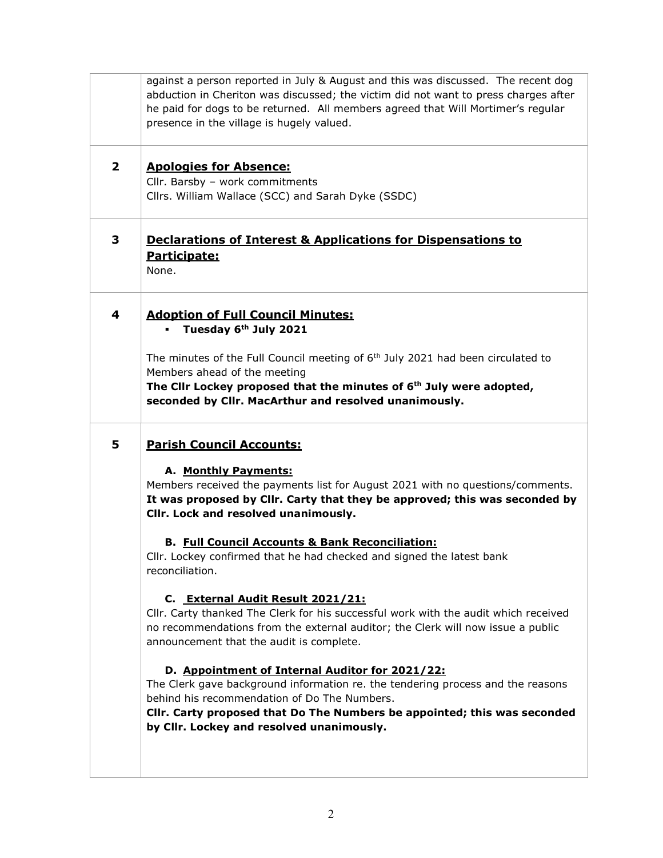|                         | against a person reported in July & August and this was discussed. The recent dog<br>abduction in Cheriton was discussed; the victim did not want to press charges after<br>he paid for dogs to be returned. All members agreed that Will Mortimer's regular<br>presence in the village is hugely valued.                                                                                                                                                                                                                                                                                                                                                                                                                                                                                                                                                                                                                                                                                           |
|-------------------------|-----------------------------------------------------------------------------------------------------------------------------------------------------------------------------------------------------------------------------------------------------------------------------------------------------------------------------------------------------------------------------------------------------------------------------------------------------------------------------------------------------------------------------------------------------------------------------------------------------------------------------------------------------------------------------------------------------------------------------------------------------------------------------------------------------------------------------------------------------------------------------------------------------------------------------------------------------------------------------------------------------|
| $\overline{\mathbf{2}}$ | <b>Apologies for Absence:</b><br>Cllr. Barsby - work commitments<br>Cllrs. William Wallace (SCC) and Sarah Dyke (SSDC)                                                                                                                                                                                                                                                                                                                                                                                                                                                                                                                                                                                                                                                                                                                                                                                                                                                                              |
| 3                       | <b>Declarations of Interest &amp; Applications for Dispensations to</b><br>Participate:<br>None.                                                                                                                                                                                                                                                                                                                                                                                                                                                                                                                                                                                                                                                                                                                                                                                                                                                                                                    |
| 4                       | <b>Adoption of Full Council Minutes:</b><br>Tuesday 6th July 2021<br>$\mathbf{u}$<br>The minutes of the Full Council meeting of $6th$ July 2021 had been circulated to<br>Members ahead of the meeting<br>The Clir Lockey proposed that the minutes of 6 <sup>th</sup> July were adopted,<br>seconded by Cllr. MacArthur and resolved unanimously.                                                                                                                                                                                                                                                                                                                                                                                                                                                                                                                                                                                                                                                  |
| 5                       | <b>Parish Council Accounts:</b><br>A. Monthly Payments:<br>Members received the payments list for August 2021 with no questions/comments.<br>It was proposed by Cllr. Carty that they be approved; this was seconded by<br>Cllr. Lock and resolved unanimously.<br><b>B. Full Council Accounts &amp; Bank Reconciliation:</b><br>Cllr. Lockey confirmed that he had checked and signed the latest bank<br>reconciliation.<br>C. External Audit Result 2021/21:<br>Cllr. Carty thanked The Clerk for his successful work with the audit which received<br>no recommendations from the external auditor; the Clerk will now issue a public<br>announcement that the audit is complete.<br>D. Appointment of Internal Auditor for 2021/22:<br>The Clerk gave background information re. the tendering process and the reasons<br>behind his recommendation of Do The Numbers.<br>Cllr. Carty proposed that Do The Numbers be appointed; this was seconded<br>by Cllr. Lockey and resolved unanimously. |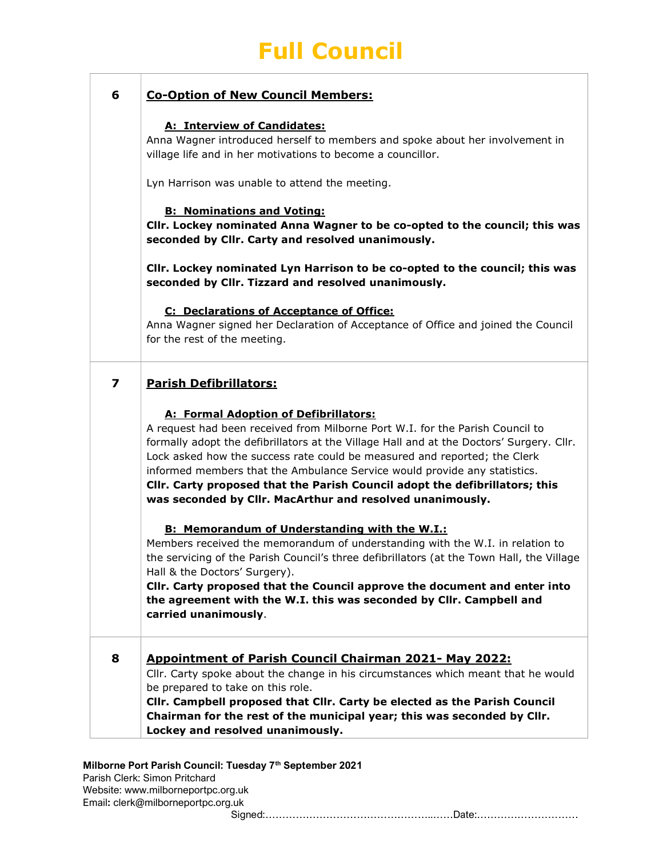## 6 Co-Option of New Council Members:

## A: Interview of Candidates:

Anna Wagner introduced herself to members and spoke about her involvement in village life and in her motivations to become a councillor.

Lyn Harrison was unable to attend the meeting.

## B: Nominations and Voting:

Cllr. Lockey nominated Anna Wagner to be co-opted to the council; this was seconded by Cllr. Carty and resolved unanimously.

Cllr. Lockey nominated Lyn Harrison to be co-opted to the council; this was seconded by Cllr. Tizzard and resolved unanimously.

### C: Declarations of Acceptance of Office:

Anna Wagner signed her Declaration of Acceptance of Office and joined the Council for the rest of the meeting.

| <b>Parish Defibrillators:</b> |
|-------------------------------|
|-------------------------------|

### A: Formal Adoption of Defibrillators:

A request had been received from Milborne Port W.I. for the Parish Council to formally adopt the defibrillators at the Village Hall and at the Doctors' Surgery. Cllr. Lock asked how the success rate could be measured and reported; the Clerk informed members that the Ambulance Service would provide any statistics. Cllr. Carty proposed that the Parish Council adopt the defibrillators; this was seconded by Cllr. MacArthur and resolved unanimously.

### B: Memorandum of Understanding with the W.I.:

Members received the memorandum of understanding with the W.I. in relation to the servicing of the Parish Council's three defibrillators (at the Town Hall, the Village Hall & the Doctors' Surgery).

Cllr. Carty proposed that the Council approve the document and enter into the agreement with the W.I. this was seconded by Cllr. Campbell and carried unanimously.

## 8 Appointment of Parish Council Chairman 2021- May 2022:

Cllr. Carty spoke about the change in his circumstances which meant that he would be prepared to take on this role.

Cllr. Campbell proposed that Cllr. Carty be elected as the Parish Council Chairman for the rest of the municipal year; this was seconded by Cllr. Lockey and resolved unanimously.

### Milborne Port Parish Council: Tuesday 7<sup>th</sup> September 2021

Parish Clerk: Simon Pritchard Website: www.milborneportpc.org.uk Email: clerk@milborneportpc.org.uk

Signed:…………………………………………..……Date:…………………………